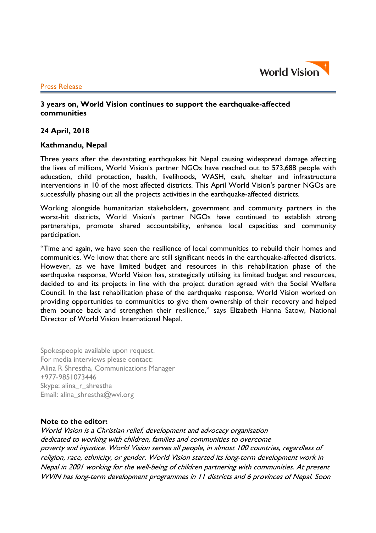

#### Press Release

# **3 years on, World Vision continues to support the earthquake-affected communities**

### **24 April, 2018**

## **Kathmandu, Nepal**

Three years after the devastating earthquakes hit Nepal causing widespread damage affecting the lives of millions, World Vision's partner NGOs have reached out to 573,688 people with education, child protection, health, livelihoods, WASH, cash, shelter and infrastructure interventions in 10 of the most affected districts. This April World Vision's partner NGOs are successfully phasing out all the projects activities in the earthquake-affected districts.

Working alongside humanitarian stakeholders, government and community partners in the worst-hit districts, World Vision's partner NGOs have continued to establish strong partnerships, promote shared accountability, enhance local capacities and community participation.

"Time and again, we have seen the resilience of local communities to rebuild their homes and communities. We know that there are still significant needs in the earthquake-affected districts. However, as we have limited budget and resources in this rehabilitation phase of the earthquake response, World Vision has, strategically utilising its limited budget and resources, decided to end its projects in line with the project duration agreed with the Social Welfare Council. In the last rehabilitation phase of the earthquake response, World Vision worked on providing opportunities to communities to give them ownership of their recovery and helped them bounce back and strengthen their resilience," says Elizabeth Hanna Satow, National Director of World Vision International Nepal.

Spokespeople available upon request. For media interviews please contact: Alina R Shrestha, Communications Manager +977-9851073446 Skype: alina\_r\_shrestha Email: alina\_shrestha@wvi.org

### **Note to the editor:**

World Vision is a Christian relief, development and advocacy organisation dedicated to working with children, families and communities to overcome poverty and injustice. World Vision serves all people, in almost 100 countries, regardless of religion, race, ethnicity, or gender. World Vision started its long-term development work in Nepal in 2001 working for the well-being of children partnering with communities. At present WVIN has long-term development programmes in 11 districts and 6 provinces of Nepal. Soon